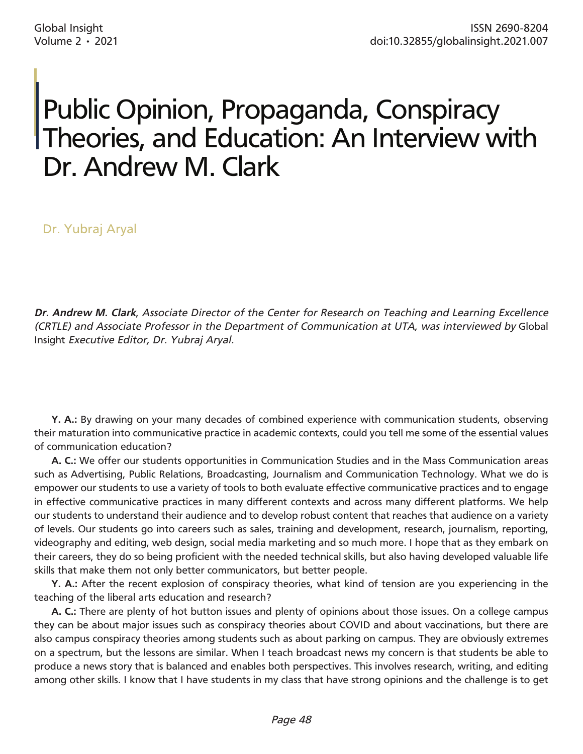## Public Opinion, Propaganda, Conspiracy Theories, and Education: An Interview with Dr. Andrew M. Clark

Dr. Yubraj Aryal

*Dr. Andrew M. Clark*, *Associate Director of the Center for Research on Teaching and Learning Excellence (CRTLE) and Associate Professor in the Department of Communication at UTA, was interviewed by* Global Insight *Executive Editor, Dr. Yubraj Aryal.* 

**Y. A.:** By drawing on your many decades of combined experience with communication students, observing their maturation into communicative practice in academic contexts, could you tell me some of the essential values of communication education?

**A. C.:** We offer our students opportunities in Communication Studies and in the Mass Communication areas such as Advertising, Public Relations, Broadcasting, Journalism and Communication Technology. What we do is empower our students to use a variety of tools to both evaluate effective communicative practices and to engage in effective communicative practices in many different contexts and across many different platforms. We help our students to understand their audience and to develop robust content that reaches that audience on a variety of levels. Our students go into careers such as sales, training and development, research, journalism, reporting, videography and editing, web design, social media marketing and so much more. I hope that as they embark on their careers, they do so being proficient with the needed technical skills, but also having developed valuable life skills that make them not only better communicators, but better people.

**Y. A.:** After the recent explosion of conspiracy theories, what kind of tension are you experiencing in the teaching of the liberal arts education and research?

**A. C.:** There are plenty of hot button issues and plenty of opinions about those issues. On a college campus they can be about major issues such as conspiracy theories about COVID and about vaccinations, but there are also campus conspiracy theories among students such as about parking on campus. They are obviously extremes on a spectrum, but the lessons are similar. When I teach broadcast news my concern is that students be able to produce a news story that is balanced and enables both perspectives. This involves research, writing, and editing among other skills. I know that I have students in my class that have strong opinions and the challenge is to get